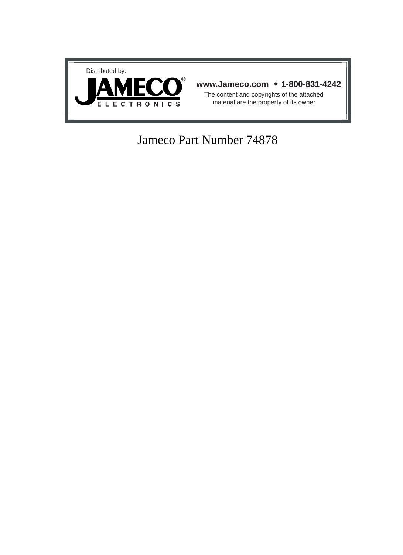

## Jameco Part Number 74878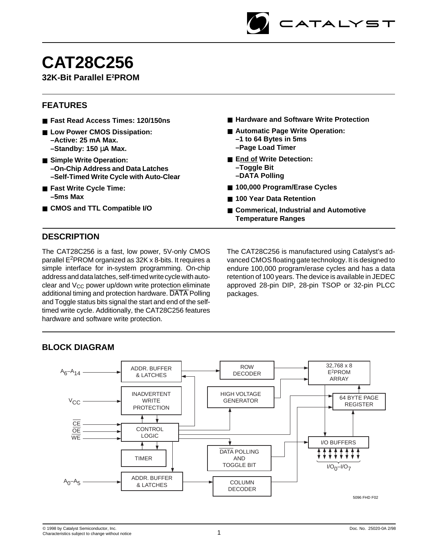

# **CAT28C256**

## **32K-Bit Parallel E2 PROM**

## **FEATURES**

- **Fast Read Access Times: 120/150ns**
- Low Power CMOS Dissipation: **–Active: 25 mA Max. –Standby: 150** µ**A Max.**
- **Simple Write Operation: –On-Chip Address and Data Latches –Self-Timed Write Cycle with Auto-Clear**
- **Fast Write Cycle Time: –5ms Max**
- **CMOS and TTL Compatible I/O**
- Hardware and Software Write Protection
- Automatic Page Write Operation: **–1 to 64 Bytes in 5ms**
	- **–Page Load Timer**
- **End of Write Detection: –Toggle Bit**
	- **–DATA Polling**
- **100,000 Program/Erase Cycles**
- 100 Year Data Retention
- **Commerical, Industrial and Automotive Temperature Ranges**

## **DESCRIPTION**

The CAT28C256 is a fast, low power, 5V-only CMOS parallel E2PROM organized as 32K x 8-bits. It requires a simple interface for in-system programming. On-chip address and data latches, self-timed write cycle with autoclear and  $V_{CC}$  power up/down write protection eliminate additional timing and protection hardware. DATA Polling and Toggle status bits signal the start and end of the selftimed write cycle. Additionally, the CAT28C256 features hardware and software write protection.

The CAT28C256 is manufactured using Catalyst's advanced CMOS floating gate technology. It is designed to endure 100,000 program/erase cycles and has a data retention of 100 years. The device is available in JEDEC approved 28-pin DIP, 28-pin TSOP or 32-pin PLCC packages.

## **BLOCK DIAGRAM**

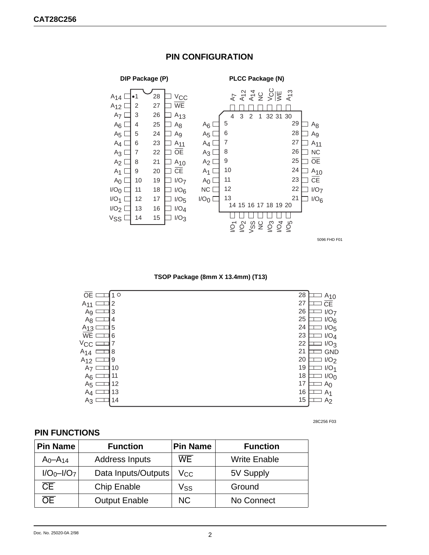

## **PIN CONFIGURATION**

 **TSOP Package (8mm X 13.4mm) (T13)**

| 10             | 28                     |
|----------------|------------------------|
| OE             | $A_{10}$               |
| $\overline{2}$ | 27                     |
| $A_{11}$       | $\overline{\text{CE}}$ |
| Ag I           | 26                     |
| 3              | I/O <sub>7</sub>       |
| $A_8$          | 25                     |
| 4              | 1/O <sub>6</sub>       |
| 5              | 24                     |
| $A_{13}$       | I/O <sub>5</sub>       |
| WE             | 23                     |
| 6              | I/O <sub>4</sub>       |
| $V_{\rm CC}$   | 22<br>1/O <sub>3</sub> |
| 8              | 21                     |
| $A_{14}$       | <b>GND</b>             |
| 9              | 20                     |
| $A_{12}$       | I/O <sub>2</sub>       |
| 10             | 19                     |
| A <sub>7</sub> | $I/O_1$                |
| 11             | 18                     |
| $A_6$          | I/O <sub>0</sub>       |
| 12             | 17                     |
| A <sub>5</sub> | A <sub>0</sub>         |
| 13             | 16                     |
| $A_4$          | A <sub>1</sub>         |
| 14             | 15                     |
| A3             | A <sub>2</sub>         |
|                |                        |

#### 28C256 F03

## **PIN FUNCTIONS**

| <b>Pin Name</b>        | <b>Function</b>       | <b>Pin Name</b> | <b>Function</b>     |
|------------------------|-----------------------|-----------------|---------------------|
| $A_0 - A_{14}$         | <b>Address Inputs</b> | WE              | <b>Write Enable</b> |
| $I/O_0-I/O_7$          | Data Inputs/Outputs   | Vcc             | 5V Supply           |
| $\overline{\text{CE}}$ | <b>Chip Enable</b>    | Vss             | Ground              |
| ЭE                     | <b>Output Enable</b>  | <b>NC</b>       | No Connect          |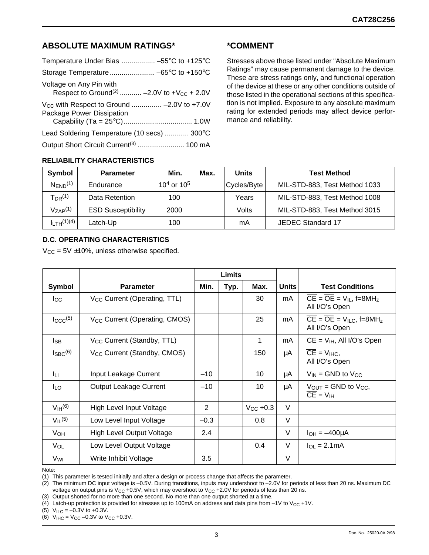## **ABSOLUTE MAXIMUM RATINGS\***

| Temperature Under Bias  -55°C to +125°C                     |
|-------------------------------------------------------------|
|                                                             |
| Respect to Ground <sup>(2)</sup> -2.0V to + $V_{CC}$ + 2.0V |
| $V_{CC}$ with Respect to Ground  -2.0V to +7.0V             |
| Lead Soldering Temperature (10 secs)  300°C                 |
|                                                             |
|                                                             |

## **\*COMMENT**

Stresses above those listed under "Absolute Maximum Ratings" may cause permanent damage to the device. These are stress ratings only, and functional operation of the device at these or any other conditions outside of those listed in the operational sections of this specification is not implied. Exposure to any absolute maximum rating for extended periods may affect device performance and reliability.

#### **RELIABILITY CHARACTERISTICS**

| Symbol                              | <b>Parameter</b>          | Min.               | Max. | Units       | <b>Test Method</b>            |
|-------------------------------------|---------------------------|--------------------|------|-------------|-------------------------------|
| $N_{END}$ <sup>(1)</sup>            | Endurance                 | $ 10^4$ or $10^5 $ |      | Cycles/Byte | MIL-STD-883, Test Method 1033 |
| $T_{\sf DR}{}^{(1)}$                | Data Retention            | 100                |      | Years       | MIL-STD-883, Test Method 1008 |
| $V_{ZAP}$ <sup>(1)</sup>            | <b>ESD Susceptibility</b> | 2000               |      | Volts       | MIL-STD-883, Test Method 3015 |
| I <sub>I TH</sub> <sup>(1)(4)</sup> | Latch-Up                  | 100                |      | mA          | JEDEC Standard 17             |

#### **D.C. OPERATING CHARACTERISTICS**

 $V_{CC}$  = 5V  $\pm$ 10%, unless otherwise specified.

|                        |                                           | <b>Limits</b> |      |                      |              |                                                                                  |
|------------------------|-------------------------------------------|---------------|------|----------------------|--------------|----------------------------------------------------------------------------------|
| Symbol                 | <b>Parameter</b>                          | Min.          | Typ. | Max.                 | <b>Units</b> | <b>Test Conditions</b>                                                           |
| $_{\rm lcc}$           | V <sub>CC</sub> Current (Operating, TTL)  |               |      | 30                   | mA           | $\overline{CE} = \overline{OE} = V_{IL}$ , f=8MH <sub>z</sub><br>All I/O's Open  |
| $\text{LCCC}^{(5)}$    | V <sub>CC</sub> Current (Operating, CMOS) |               |      | 25                   | mA           | $\overline{CE} = \overline{OE} = V_{ILC}$ , f=8MH <sub>z</sub><br>All I/O's Open |
| lsb                    | V <sub>CC</sub> Current (Standby, TTL)    |               |      | 1                    | mA           | $CE = V_{IH}$ , All I/O's Open                                                   |
| $I_{\text{SBC}}^{(6)}$ | V <sub>CC</sub> Current (Standby, CMOS)   |               |      | 150                  | μA           | $CE = V_{IHC}$<br>All I/O's Open                                                 |
| Iц                     | Input Leakage Current                     | $-10$         |      | 10                   | μA           | $V_{IN}$ = GND to $V_{CC}$                                                       |
| l <sub>LO</sub>        | Output Leakage Current                    | $-10$         |      | 10                   | μA           | $V_{\text{OUT}} =$ GND to $V_{\text{CC}}$ ,<br>$\overline{CE} = V_{IH}$          |
| V <sub>IH</sub> (6)    | High Level Input Voltage                  | 2             |      | $V_{\text{CC}}$ +0.3 | $\vee$       |                                                                                  |
| $V_{II}$ (5)           | Low Level Input Voltage                   | $-0.3$        |      | 0.8                  | $\vee$       |                                                                                  |
| <b>V<sub>OH</sub></b>  | <b>High Level Output Voltage</b>          | 2.4           |      |                      | $\vee$       | $I_{OH} = -400 \mu A$                                                            |
| VOL                    | Low Level Output Voltage                  |               |      | 0.4                  | $\vee$       | $I_{OL} = 2.1mA$                                                                 |
| V <sub>WI</sub>        | Write Inhibit Voltage                     | 3.5           |      |                      | $\vee$       |                                                                                  |

Note:

(1) This parameter is tested initially and after a design or process change that affects the parameter.

(2) The minimum DC input voltage is –0.5V. During transitions, inputs may undershoot to –2.0V for periods of less than 20 ns. Maximum DC voltage on output pins is  $V_{CC}$  +0.5V, which may overshoot to  $V_{CC}$  +2.0V for periods of less than 20 ns.

(3) Output shorted for no more than one second. No more than one output shorted at a time.

(4) Latch-up protection is provided for stresses up to 100mA on address and data pins from  $-1$ V to V<sub>CC</sub> +1V.

(5)  $V_{\text{ILC}} = -0.3V$  to +0.3V.

(6)  $V_{\text{HIC}} = V_{\text{CC}} -0.3V$  to  $V_{\text{CC}}$  +0.3V.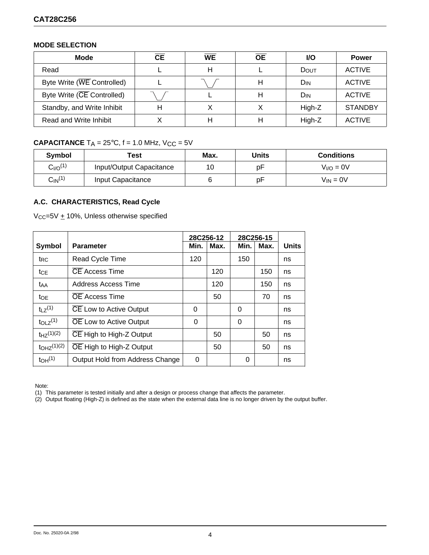#### **MODE SELECTION**

| Mode                       | <b>CE</b> | <b>WE</b> | <b>OE</b> | <b>VO</b> | <b>Power</b>   |
|----------------------------|-----------|-----------|-----------|-----------|----------------|
| Read                       |           | н         |           | DOUT      | <b>ACTIVE</b>  |
| Byte Write (WE Controlled) |           |           |           | Dın       | <b>ACTIVE</b>  |
| Byte Write (CE Controlled) |           |           |           | Dın       | <b>ACTIVE</b>  |
| Standby, and Write Inhibit |           |           |           | High-Z    | <b>STANDBY</b> |
| Read and Write Inhibit     |           |           |           | High-Z    | <b>ACTIVE</b>  |

## **CAPACITANCE**  $T_A = 25^\circ C$ ,  $f = 1.0$  MHz,  $V_{CC} = 5V$

| Symbol                   | Test                     | Max. | Units | <b>Conditions</b> |
|--------------------------|--------------------------|------|-------|-------------------|
| $C_{I/O}$ <sup>(1)</sup> | Input/Output Capacitance | 10   | рF    | $VI/O = 0V$       |
| $C_{\mathsf{IN}}^{(1)}$  | Input Capacitance        |      | рF    | $V_{IN} = 0V$     |

## **A.C. CHARACTERISTICS, Read Cycle**

 $V_{CC}$ =5V  $\pm$  10%, Unless otherwise specified

|                                 |                                 | 28C256-12 |      | 28C256-15 |      |              |
|---------------------------------|---------------------------------|-----------|------|-----------|------|--------------|
| Symbol                          | <b>Parameter</b>                | Min.      | Max. | Min.      | Max. | <b>Units</b> |
| t <sub>RC</sub>                 | Read Cycle Time                 | 120       |      | 150       |      | ns           |
| tce                             | <b>CE</b> Access Time           |           | 120  |           | 150  | ns           |
| t <sub>AA</sub>                 | Address Access Time             |           | 120  |           | 150  | ns           |
| to <sub>E</sub>                 | <b>OE</b> Access Time           |           | 50   |           | 70   | ns           |
| $t_1$ $z^{(1)}$                 | CE Low to Active Output         | 0         |      | 0         |      | ns           |
| t <sub>OLZ</sub> <sup>(1)</sup> | <b>OE</b> Low to Active Output  | 0         |      | 0         |      | ns           |
| $t_{HZ}(1)(2)$                  | CE High to High-Z Output        |           | 50   |           | 50   | ns           |
| $t_{OHZ}^{(1)(2)}$              | OE High to High-Z Output        |           | 50   |           | 50   | ns           |
| t <sub>OH</sub> <sup>(1)</sup>  | Output Hold from Address Change | 0         |      | 0         |      | ns           |

Note:

(1) This parameter is tested initially and after a design or process change that affects the parameter.

(2) Output floating (High-Z) is defined as the state when the external data line is no longer driven by the output buffer.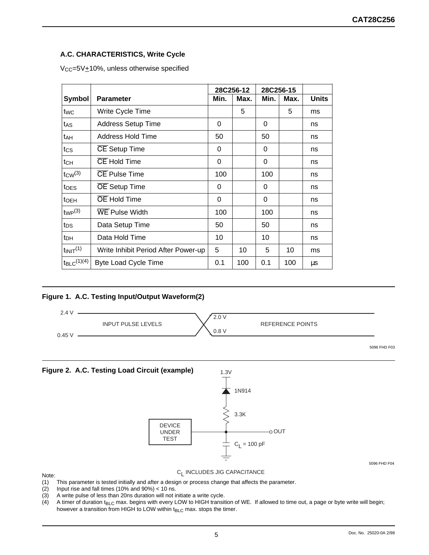## **A.C. CHARACTERISTICS, Write Cycle**

 $V_{CC}=5V+10%$ , unless otherwise specified

|                        |                                     | 28C256-12 |      | 28C256-15 |      |              |
|------------------------|-------------------------------------|-----------|------|-----------|------|--------------|
| Symbol                 | <b>Parameter</b>                    | Min.      | Max. | Min.      | Max. | <b>Units</b> |
| twc                    | Write Cycle Time                    |           | 5    |           | 5    | ms           |
| tas                    | <b>Address Setup Time</b>           | 0         |      | 0         |      | ns           |
| tдн                    | <b>Address Hold Time</b>            | 50        |      | 50        |      | ns           |
| tcs                    | <b>CE</b> Setup Time                | 0         |      | 0         |      | ns           |
| tсн                    | <b>CE</b> Hold Time                 | 0         |      | 0         |      | ns           |
| $tcw^{(3)}$            | <b>CE Pulse Time</b>                | 100       |      | 100       |      | ns           |
| <b>t</b> oes           | <b>OE</b> Setup Time                | 0         |      | 0         |      | ns           |
| toeh                   | <b>OE</b> Hold Time                 | $\Omega$  |      | $\Omega$  |      | ns           |
| two(3)                 | <b>WE Pulse Width</b>               | 100       |      | 100       |      | ns           |
| tps                    | Data Setup Time                     | 50        |      | 50        |      | ns           |
| tрн                    | Data Hold Time                      | 10        |      | 10        |      | ns           |
| $t_{\text{INIT}}(1)$   | Write Inhibit Period After Power-up | 5         | 10   | 5         | 10   | ms           |
| $t_{\text{BLC}}(1)(4)$ | <b>Byte Load Cycle Time</b>         | 0.1       | 100  | 0.1       | 100  | μs           |

#### **Figure 1. A.C. Testing Input/Output Waveform(2)**



5096 FHD F04

- Note:<br>(1) (1) This parameter is tested initially and after a design or process change that affects the parameter.<br>(2) Input rise and fall times (10% and 90%) < 10 ns.
- Input rise and fall times (10% and 90%)  $<$  10 ns.
- (3) A write pulse of less than 20ns duration will not initiate a write cycle.
- (4) A timer of duration t<sub>BLC</sub> max. begins with every LOW to HIGH transition of WE. If allowed to time out, a page or byte write will begin; however a transition from HIGH to LOW within  $t_{BLC}$  max. stops the timer.

C<sub>I</sub> INCLUDES JIG CAPACITANCE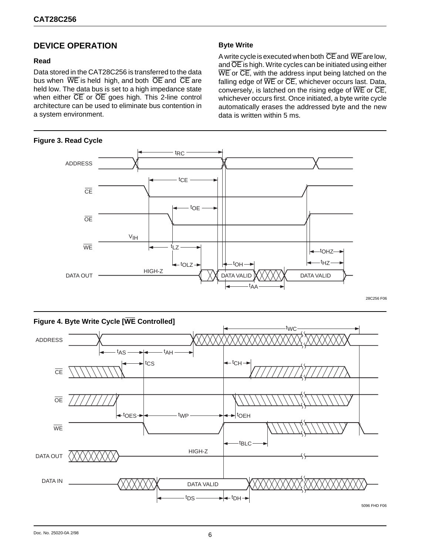## **DEVICE OPERATION**

#### **Read**

Data stored in the CAT28C256 is transferred to the data bus when  $\overline{WE}$  is held high, and both  $\overline{OE}$  and  $\overline{CE}$  are held low. The data bus is set to a high impedance state when either  $\overline{CE}$  or  $\overline{OE}$  goes high. This 2-line control architecture can be used to eliminate bus contention in a system environment.

#### **Figure 3. Read Cycle**

#### **Byte Write**

A write cycle is executed when both  $\overline{\text{CE}}$  and  $\overline{\text{WE}}$  are low, and OE is high. Write cycles can be initiated using either WE or CE, with the address input being latched on the falling edge of  $\overline{\text{VE}}$  or  $\overline{\text{CE}}$ , whichever occurs last. Data, conversely, is latched on the rising edge of  $\overline{WE}$  or  $\overline{CE}$ , whichever occurs first. Once initiated, a byte write cycle automatically erases the addressed byte and the new data is written within 5 ms.



28C256 F06

## **Figure 4. Byte Write Cycle [WE Controlled]** ADDRESS **CE** OE **WE** DATA OUT  $t_{\Delta S}$ DATA IN DATA VALID HIGH-Z tCS tAH - <sup>t</sup>CH tWC ► <sup>t</sup>OEH tBLC  $tps \longrightarrow t$ <sub>DH</sub>  $t$ -toes  $\rightarrow$   $\rightarrow$  twp 5096 FHD F06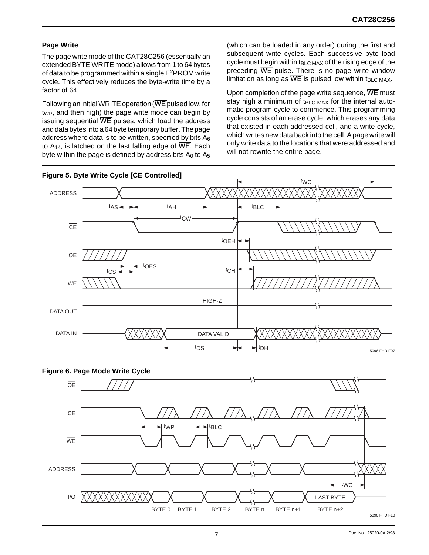### **Page Write**

The page write mode of the CAT28C256 (essentially an extended BYTE WRITE mode) allows from 1 to 64 bytes of data to be programmed within a single  $E^2$ PROM write cycle. This effectively reduces the byte-write time by a factor of 64.

Following an initial WRITE operation (WE pulsed low, for  $t_{WP}$ , and then high) the page write mode can begin by issuing sequential WE pulses, which load the address and data bytes into a 64 byte temporary buffer. The page address where data is to be written, specified by bits  $A_6$ to  $A_{14}$ , is latched on the last falling edge of  $\overline{\text{WE}}$ . Each byte within the page is defined by address bits  $A_0$  to  $A_5$  (which can be loaded in any order) during the first and subsequent write cycles. Each successive byte load cycle must begin within  $t_{BLC,MAX}$  of the rising edge of the preceding  $\overline{WE}$  pulse. There is no page write window limitation as long as  $\overline{WE}$  is pulsed low within t<sub>BLC MAX</sub>.

Upon completion of the page write sequence,  $\overline{WE}$  must stay high a minimum of  $t_{BLC}$   $_{MAX}$  for the internal automatic program cycle to commence. This programming cycle consists of an erase cycle, which erases any data that existed in each addressed cell, and a write cycle, which writes new data back into the cell. A page write will only write data to the locations that were addressed and will not rewrite the entire page.





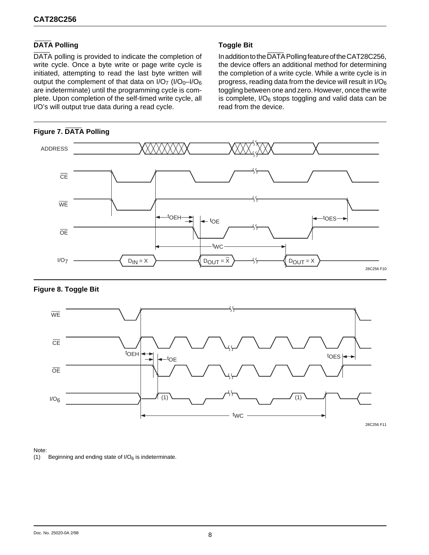## **DATA Polling**

DATA polling is provided to indicate the completion of write cycle. Once a byte write or page write cycle is initiated, attempting to read the last byte written will output the complement of that data on  $I/O<sub>7</sub>$  ( $I/O<sub>0</sub>-I/O<sub>6</sub>$ ) are indeterminate) until the programming cycle is complete. Upon completion of the self-timed write cycle, all I/O's will output true data during a read cycle.

## **Figure 7. DATA Polling**

## **Toggle Bit**

In addition to the DATA Polling feature of the CAT28C256, the device offers an additional method for determining the completion of a write cycle. While a write cycle is in progress, reading data from the device will result in  $I/O<sub>6</sub>$ toggling between one and zero. However, once the write is complete,  $I/O_6$  stops toggling and valid data can be read from the device.



#### **Figure 8. Toggle Bit**



Note:

(1) Beginning and ending state of  $1/O<sub>6</sub>$  is indeterminate.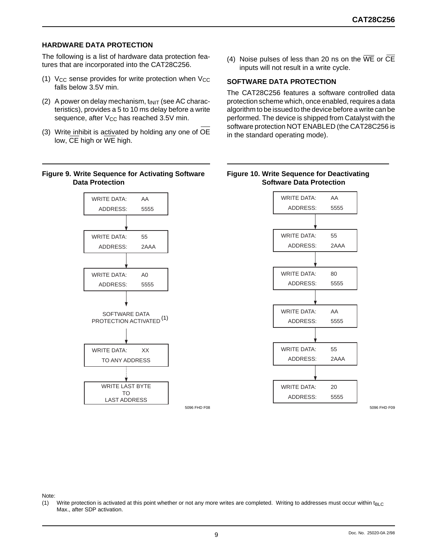#### **HARDWARE DATA PROTECTION**

The following is a list of hardware data protection features that are incorporated into the CAT28C256.

- (1)  $V_{CC}$  sense provides for write protection when  $V_{CC}$ falls below 3.5V min.
- (2) A power on delay mechanism,  $t_{\text{INIT}}$  (see AC characteristics), provides a 5 to 10 ms delay before a write sequence, after V<sub>CC</sub> has reached 3.5V min.
- (3) Write inhibit is activated by holding any one of OE low, CE high or WE high.

#### **Figure 9. Write Sequence for Activating Software Data Protection**

SOFTWARE DATA **PROTECTION ACTIVATED** (1) WRITE DATA: XX WRITE LAST BYTE TO LAST ADDRESS TO ANY ADDRESS WRITE DATA: AA ADDRESS: 5555 WRITE DATA: 55 ADDRESS: 2AAA WRITE DATA: A0 ADDRESS: 5555

(4) Noise pulses of less than 20 ns on the  $\overline{WE}$  or  $\overline{CE}$ inputs will not result in a write cycle.

#### **SOFTWARE DATA PROTECTION**

The CAT28C256 features a software controlled data protection scheme which, once enabled, requires a data algorithm to be issued to the device before a write can be performed. The device is shipped from Catalyst with the software protection NOT ENABLED (the CAT28C256 is in the standard operating mode).

#### **Figure 10. Write Sequence for Deactivating Software Data Protection**



Note:

(1) Write protection is activated at this point whether or not any more writes are completed. Writing to addresses must occur within t<sub>BLC</sub> Max., after SDP activation.